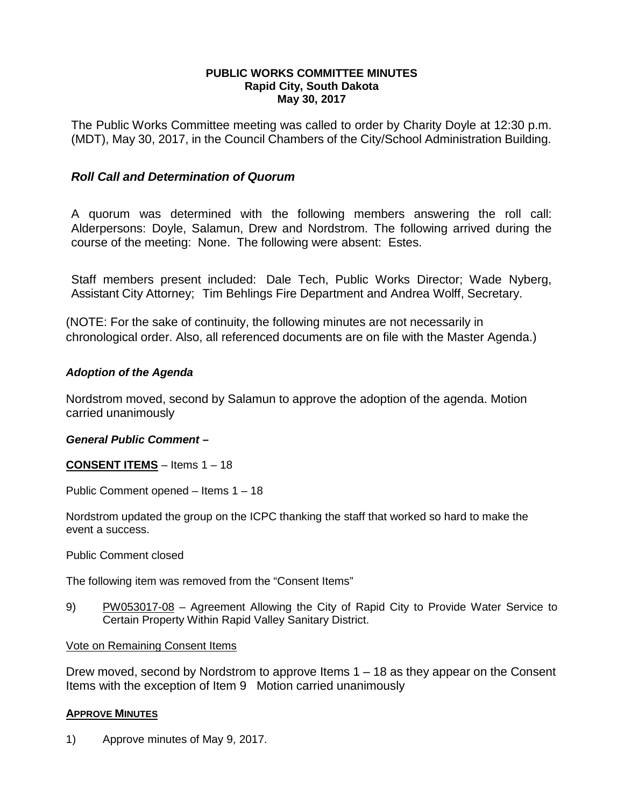## **PUBLIC WORKS COMMITTEE MINUTES Rapid City, South Dakota May 30, 2017**

The Public Works Committee meeting was called to order by Charity Doyle at 12:30 p.m. (MDT), May 30, 2017, in the Council Chambers of the City/School Administration Building.

# *Roll Call and Determination of Quorum*

A quorum was determined with the following members answering the roll call: Alderpersons: Doyle, Salamun, Drew and Nordstrom. The following arrived during the course of the meeting: None. The following were absent: Estes.

Staff members present included: Dale Tech, Public Works Director; Wade Nyberg, Assistant City Attorney; Tim Behlings Fire Department and Andrea Wolff, Secretary.

(NOTE: For the sake of continuity, the following minutes are not necessarily in chronological order. Also, all referenced documents are on file with the Master Agenda.)

# *Adoption of the Agenda*

Nordstrom moved, second by Salamun to approve the adoption of the agenda. Motion carried unanimously

# *General Public Comment –*

**CONSENT ITEMS** – Items 1 – 18

Public Comment opened – Items 1 – 18

Nordstrom updated the group on the ICPC thanking the staff that worked so hard to make the event a success.

Public Comment closed

The following item was removed from the "Consent Items"

9) PW053017-08 – Agreement Allowing the City of Rapid City to Provide Water Service to Certain Property Within Rapid Valley Sanitary District.

Vote on Remaining Consent Items

Drew moved, second by Nordstrom to approve Items 1 – 18 as they appear on the Consent Items with the exception of Item 9 Motion carried unanimously

# **APPROVE MINUTES**

1) Approve minutes of May 9, 2017.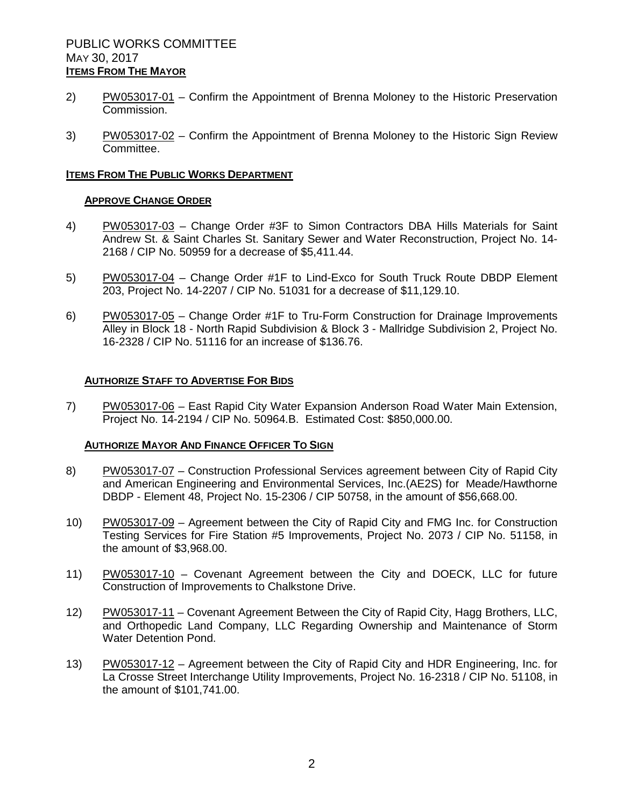- 2) PW053017-01 Confirm the Appointment of Brenna Moloney to the Historic Preservation Commission.
- 3) PW053017-02 Confirm the Appointment of Brenna Moloney to the Historic Sign Review Committee.

### **ITEMS FROM THE PUBLIC WORKS DEPARTMENT**

#### **APPROVE CHANGE ORDER**

- 4) PW053017-03 Change Order #3F to Simon Contractors DBA Hills Materials for Saint Andrew St. & Saint Charles St. Sanitary Sewer and Water Reconstruction, Project No. 14- 2168 / CIP No. 50959 for a decrease of \$5,411.44.
- 5) PW053017-04 Change Order #1F to Lind-Exco for South Truck Route DBDP Element 203, Project No. 14-2207 / CIP No. 51031 for a decrease of \$11,129.10.
- 6) PW053017-05 Change Order #1F to Tru-Form Construction for Drainage Improvements Alley in Block 18 - North Rapid Subdivision & Block 3 - Mallridge Subdivision 2, Project No. 16-2328 / CIP No. 51116 for an increase of \$136.76.

### **AUTHORIZE STAFF TO ADVERTISE FOR BIDS**

7) PW053017-06 – East Rapid City Water Expansion Anderson Road Water Main Extension, Project No. 14-2194 / CIP No. 50964.B. Estimated Cost: \$850,000.00.

### **AUTHORIZE MAYOR AND FINANCE OFFICER TO SIGN**

- 8) PW053017-07 Construction Professional Services agreement between City of Rapid City and American Engineering and Environmental Services, Inc.(AE2S) for Meade/Hawthorne DBDP - Element 48, Project No. 15-2306 / CIP 50758, in the amount of \$56,668.00.
- 10) PW053017-09 Agreement between the City of Rapid City and FMG Inc. for Construction Testing Services for Fire Station #5 Improvements, Project No. 2073 / CIP No. 51158, in the amount of \$3,968.00.
- 11) PW053017-10 Covenant Agreement between the City and DOECK, LLC for future Construction of Improvements to Chalkstone Drive.
- 12) PW053017-11 Covenant Agreement Between the City of Rapid City, Hagg Brothers, LLC, and Orthopedic Land Company, LLC Regarding Ownership and Maintenance of Storm Water Detention Pond.
- 13) PW053017-12 Agreement between the City of Rapid City and HDR Engineering, Inc. for La Crosse Street Interchange Utility Improvements, Project No. 16-2318 / CIP No. 51108, in the amount of \$101,741.00.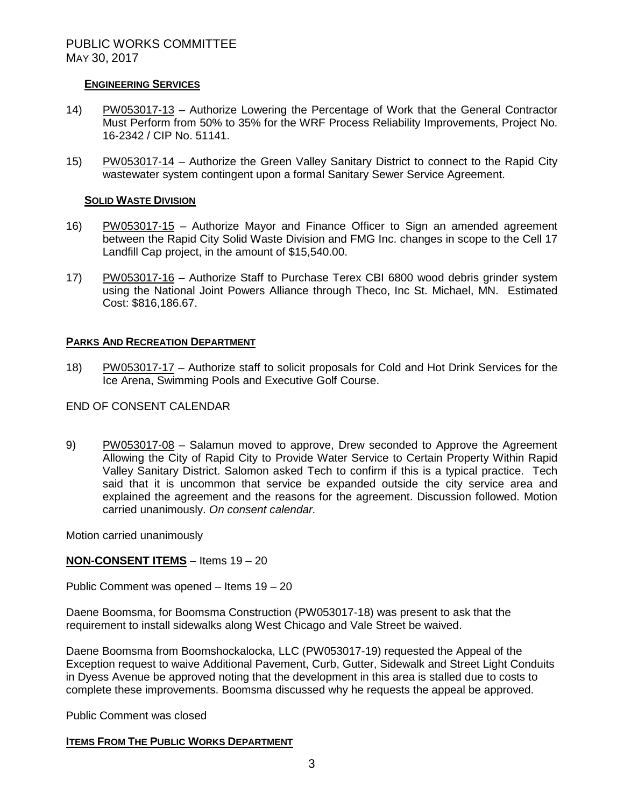## **ENGINEERING SERVICES**

- 14) PW053017-13 Authorize Lowering the Percentage of Work that the General Contractor Must Perform from 50% to 35% for the WRF Process Reliability Improvements, Project No. 16-2342 / CIP No. 51141.
- 15) PW053017-14 Authorize the Green Valley Sanitary District to connect to the Rapid City wastewater system contingent upon a formal Sanitary Sewer Service Agreement.

### **SOLID WASTE DIVISION**

- 16) PW053017-15 Authorize Mayor and Finance Officer to Sign an amended agreement between the Rapid City Solid Waste Division and FMG Inc. changes in scope to the Cell 17 Landfill Cap project, in the amount of \$15,540.00.
- 17) PW053017-16 Authorize Staff to Purchase Terex CBI 6800 wood debris grinder system using the National Joint Powers Alliance through Theco, Inc St. Michael, MN. Estimated Cost: \$816,186.67.

## **PARKS AND RECREATION DEPARTMENT**

18) PW053017-17 – Authorize staff to solicit proposals for Cold and Hot Drink Services for the Ice Arena, Swimming Pools and Executive Golf Course.

## END OF CONSENT CALENDAR

9) PW053017-08 – Salamun moved to approve, Drew seconded to Approve the Agreement Allowing the City of Rapid City to Provide Water Service to Certain Property Within Rapid Valley Sanitary District. Salomon asked Tech to confirm if this is a typical practice. Tech said that it is uncommon that service be expanded outside the city service area and explained the agreement and the reasons for the agreement. Discussion followed. Motion carried unanimously. *On consent calendar.*

Motion carried unanimously

# **NON-CONSENT ITEMS** – Items 19 – 20

Public Comment was opened – Items 19 – 20

Daene Boomsma, for Boomsma Construction (PW053017-18) was present to ask that the requirement to install sidewalks along West Chicago and Vale Street be waived.

Daene Boomsma from Boomshockalocka, LLC (PW053017-19) requested the Appeal of the Exception request to waive Additional Pavement, Curb, Gutter, Sidewalk and Street Light Conduits in Dyess Avenue be approved noting that the development in this area is stalled due to costs to complete these improvements. Boomsma discussed why he requests the appeal be approved.

Public Comment was closed

### **ITEMS FROM THE PUBLIC WORKS DEPARTMENT**